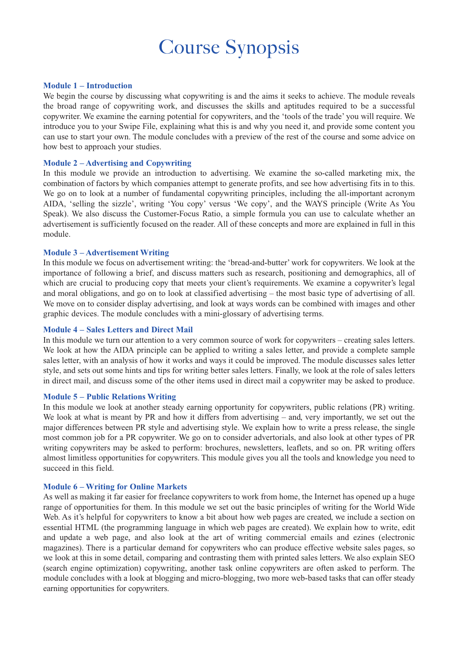# Course Synopsis

# **Module 1 – Introduction**

We begin the course by discussing what copywriting is and the aims it seeks to achieve. The module reveals the broad range of copywriting work, and discusses the skills and aptitudes required to be a successful copywriter. We examine the earning potential for copywriters, and the 'tools of the trade' you will require. We introduce you to your Swipe File, explaining what this is and why you need it, and provide some content you can use to start your own. The module concludes with a preview of the rest of the course and some advice on how best to approach your studies.

## **Module 2 – Advertising and Copywriting**

In this module we provide an introduction to advertising. We examine the so-called marketing mix, the combination of factors by which companies attempt to generate profits, and see how advertising fits in to this. We go on to look at a number of fundamental copywriting principles, including the all-important acronym AIDA, 'selling the sizzle', writing 'You copy' versus 'We copy', and the WAYS principle (Write As You Speak). We also discuss the Customer-Focus Ratio, a simple formula you can use to calculate whether an advertisement is sufficiently focused on the reader. All of these concepts and more are explained in full in this module.

## **Module 3 – Advertisement Writing**

In this module we focus on advertisement writing: the 'bread-and-butter' work for copywriters. We look at the importance of following a brief, and discuss matters such as research, positioning and demographics, all of which are crucial to producing copy that meets your client's requirements. We examine a copywriter's legal and moral obligations, and go on to look at classified advertising – the most basic type of advertising of all. We move on to consider display advertising, and look at ways words can be combined with images and other graphic devices. The module concludes with a mini-glossary of advertising terms.

# **Module 4 – Sales Letters and Direct Mail**

In this module we turn our attention to a very common source of work for copywriters – creating sales letters. We look at how the AIDA principle can be applied to writing a sales letter, and provide a complete sample sales letter, with an analysis of how it works and ways it could be improved. The module discusses sales letter style, and sets out some hints and tips for writing better sales letters. Finally, we look at the role of sales letters in direct mail, and discuss some of the other items used in direct mail a copywriter may be asked to produce.

#### **Module 5 – Public Relations Writing**

In this module we look at another steady earning opportunity for copywriters, public relations (PR) writing. We look at what is meant by PR and how it differs from advertising – and, very importantly, we set out the major differences between PR style and advertising style. We explain how to write a press release, the single most common job for a PR copywriter. We go on to consider advertorials, and also look at other types of PR writing copywriters may be asked to perform: brochures, newsletters, leaflets, and so on. PR writing offers almost limitless opportunities for copywriters. This module gives you all the tools and knowledge you need to succeed in this field.

#### **Module 6 – Writing for Online Markets**

As well as making it far easier for freelance copywriters to work from home, the Internet has opened up a huge range of opportunities for them. In this module we set out the basic principles of writing for the World Wide Web. As it's helpful for copywriters to know a bit about how web pages are created, we include a section on essential HTML (the programming language in which web pages are created). We explain how to write, edit and update a web page, and also look at the art of writing commercial emails and ezines (electronic magazines). There is a particular demand for copywriters who can produce effective website sales pages, so we look at this in some detail, comparing and contrasting them with printed sales letters. We also explain SEO (search engine optimization) copywriting, another task online copywriters are often asked to perform. The module concludes with a look at blogging and micro-blogging, two more web-based tasks that can offer steady earning opportunities for copywriters.